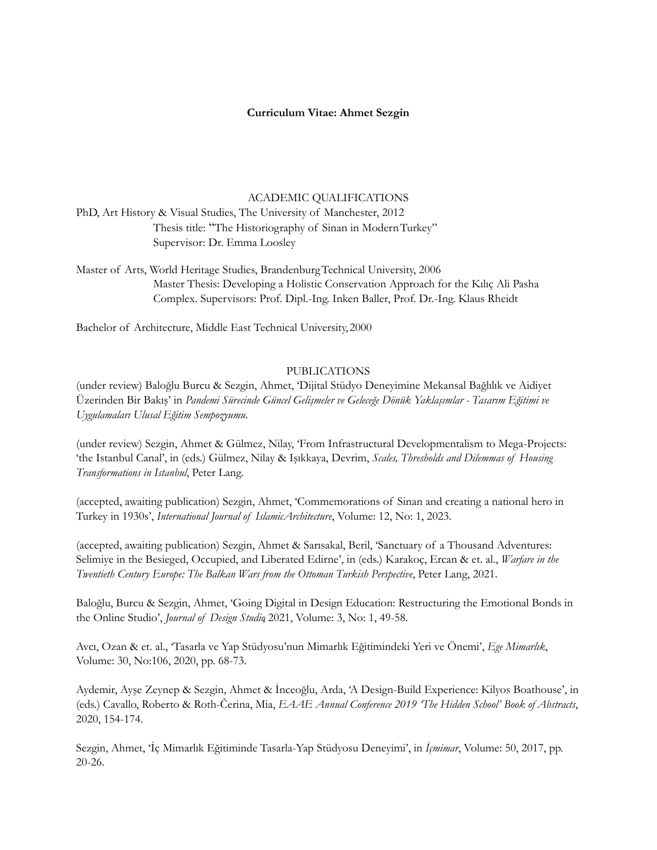# **Curriculum Vitae: Ahmet Sezgin**

### ACADEMIC QUALIFICATIONS

PhD, Art History & Visual Studies, The University of Manchester, 2012 Thesis title: "The Historiography of Sinan in ModernTurkey" Supervisor: Dr. Emma Loosley

Master of Arts, World Heritage Studies, BrandenburgTechnical University, 2006 Master Thesis: Developing a Holistic Conservation Approach for the Kılıç Ali Pasha Complex. Supervisors: Prof. Dipl.-Ing. Inken Baller, Prof. Dr.-Ing. Klaus Rheidt

Bachelor of Architecture, Middle East Technical University, 2000

### PUBLICATIONS

(under review) Baloğlu Burcu & Sezgin, Ahmet, 'Dijital Stüdyo Deneyimine Mekansal Bağlılık ve Aidiyet Üzerinden Bir Bakış' in *Pandemi Sürecinde Güncel Gelişmeler ve Geleceğe Dönük Yaklaşımlar - Tasarım Eğitimi ve Uygulamaları Ulusal Eğitim Sempozyumu*.

(under review) Sezgin, Ahmet & Gülmez, Nilay, 'From Infrastructural Developmentalism to Mega-Projects: 'the Istanbul Canal', in (eds.) Gülmez, Nilay & Işıkkaya, Devrim, *Scales, Thresholds and Dilemmas of Housing Transformations in Istanbul*, Peter Lang.

(accepted, awaiting publication) Sezgin, Ahmet, 'Commemorations of Sinan and creating a national hero in Turkey in 1930s', *International Journal of IslamicArchitecture*, Volume: 12, No: 1, 2023.

(accepted, awaiting publication) Sezgin, Ahmet & Sarısakal, Beril, 'Sanctuary of a Thousand Adventures: Selimiye in the Besieged, Occupied, and Liberated Edirne', in (eds.) Karakoç, Ercan & et. al., *Warfare in the Twentieth Century Europe: The Balkan Wars from the Ottoman Turkish Perspective*, Peter Lang, 2021.

Baloğlu, Burcu & Sezgin, Ahmet, 'Going Digital in Design Education: Restructuring the Emotional Bonds in the Online Studio', *Journal of Design Studio*, 2021, Volume: 3, No: 1, 49-58.

Avcı, Ozan & et. al., 'Tasarla ve Yap Stüdyosu'nun Mimarlık Eğitimindeki Yeri ve Önemi', *Ege Mimarlık*, Volume: 30, No:106, 2020, pp. 68-73.

Aydemir, Ayşe Zeynep & Sezgin, Ahmet & İnceoğlu, Arda, 'A Design-Build Experience: Kilyos Boathouse', in (eds.) Cavallo, Roberto & Roth-Čerina, Mia, *EAAE Annual Conference 2019 'The Hidden School' Book of Abstracts*, 2020, 154-174.

Sezgin, Ahmet, 'İç Mimarlık Eğitiminde Tasarla-Yap Stüdyosu Deneyimi', in *İçmimar*, Volume: 50, 2017, pp. 20-26.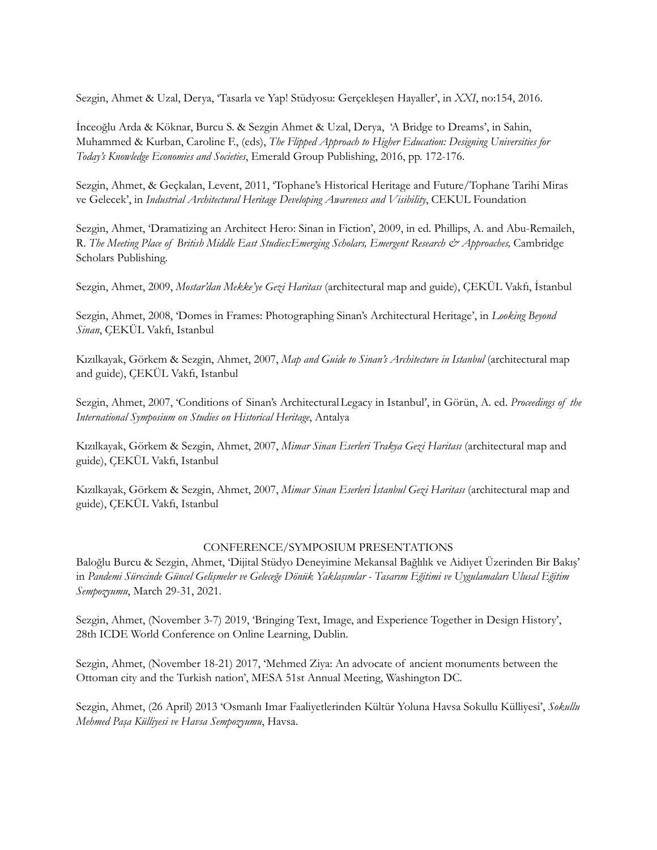Sezgin, Ahmet & Uzal, Derya, 'Tasarla ve Yap! Stüdyosu: Gerçekleşen Hayaller', in *XXI*, no:154, 2016.

İnceoğlu Arda & Köknar, Burcu S. & Sezgin Ahmet & Uzal, Derya, 'A Bridge to Dreams', in Sahin, Muhammed & Kurban, Caroline F., (eds), *The Flipped Approach to Higher Education: Designing Universities for Today's Knowledge Economies and Societies*, Emerald Group Publishing, 2016, pp. 172-176.

Sezgin, Ahmet, & Geçkalan, Levent, 2011, 'Tophane's Historical Heritage and Future/Tophane Tarihi Miras ve Gelecek', in *Industrial Architectural Heritage Developing Awareness and Visibility*, CEKUL Foundation

Sezgin, Ahmet, 'Dramatizing an Architect Hero: Sinan in Fiction', 2009, in ed. Phillips, A. and Abu-Remaileh, R. *The Meeting Place of British Middle East Studies:Emerging Scholars, Emergent Research & Approaches,* Cambridge Scholars Publishing*.*

Sezgin, Ahmet, 2009, *Mostar'dan Mekke'ye Gezi Haritası* (architectural map and guide), ÇEKÜL Vakfı, İstanbul

Sezgin, Ahmet, 2008, 'Domes in Frames: Photographing Sinan's Architectural Heritage', in *Looking Beyond Sinan*, ÇEKÜL Vakfı, Istanbul

Kızılkayak, Görkem & Sezgin, Ahmet, 2007, *Map and Guide to Sinan's Architecture in Istanbul* (architectural map and guide), ÇEKÜL Vakfı, Istanbul

Sezgin, Ahmet, 2007, 'Conditions of Sinan's ArchitecturalLegacy in Istanbul', in Görün, A. ed. *Proceedings of the International Symposium on Studies on Historical Heritage*, Antalya

Kızılkayak, Görkem & Sezgin, Ahmet, 2007, *Mimar Sinan Eserleri Trakya Gezi Haritası* (architectural map and guide), ÇEKÜL Vakfı, Istanbul

Kızılkayak, Görkem & Sezgin, Ahmet, 2007, *Mimar Sinan Eserleri İstanbul Gezi Haritası* (architectural map and guide), ÇEKÜL Vakfı, Istanbul

### CONFERENCE/SYMPOSIUM PRESENTATIONS

Baloğlu Burcu & Sezgin, Ahmet, 'Dijital Stüdyo Deneyimine Mekansal Bağlılık ve Aidiyet Üzerinden Bir Bakış' in *Pandemi Sürecinde Güncel Gelişmeler ve Geleceğe Dönük Yaklaşımlar - Tasarım Eğitimi ve Uygulamaları Ulusal Eğitim Sempozyumu*, March 29-31, 2021.

Sezgin, Ahmet, (November 3-7) 2019, 'Bringing Text, Image, and Experience Together in Design History', 28th ICDE World Conference on Online Learning, Dublin.

Sezgin, Ahmet, (November 18-21) 2017, 'Mehmed Ziya: An advocate of ancient monuments between the Ottoman city and the Turkish nation', MESA 51st Annual Meeting, Washington DC.

Sezgin, Ahmet, (26 April) 2013 'Osmanlı Imar Faaliyetlerinden Kültür Yoluna Havsa Sokullu Külliyesi', *Sokullu Mehmed Paşa Külliyesi ve Havsa Sempozyumu*, Havsa.